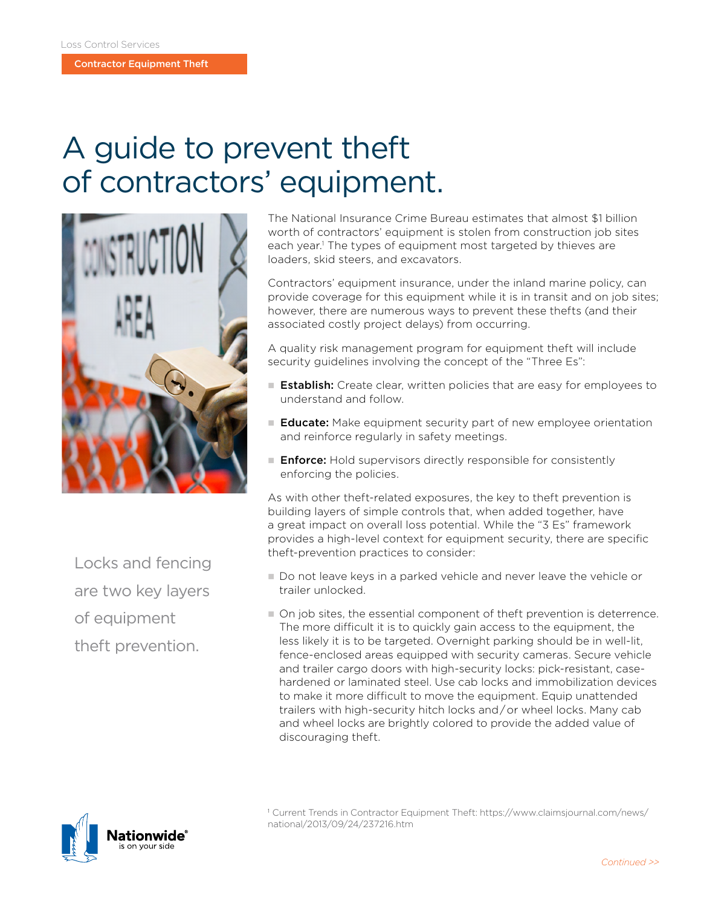Contractor Equipment Theft

## A guide to prevent theft of contractors' equipment.



Locks and fencing are two key layers of equipment theft prevention.

The National Insurance Crime Bureau estimates that almost \$1 billion worth of contractors' equipment is stolen from construction job sites each year.<sup>1</sup> The types of equipment most targeted by thieves are loaders, skid steers, and excavators.

Contractors' equipment insurance, under the inland marine policy, can provide coverage for this equipment while it is in transit and on job sites; however, there are numerous ways to prevent these thefts (and their associated costly project delays) from occurring.

A quality risk management program for equipment theft will include security guidelines involving the concept of the "Three Es":

- Establish: Create clear, written policies that are easy for employees to understand and follow.
- E **Educate:** Make equipment security part of new employee orientation and reinforce regularly in safety meetings.
- **Enforce:** Hold supervisors directly responsible for consistently enforcing the policies.

As with other theft-related exposures, the key to theft prevention is building layers of simple controls that, when added together, have a great impact on overall loss potential. While the "3 Es" framework provides a high-level context for equipment security, there are specific theft-prevention practices to consider:

- n Do not leave keys in a parked vehicle and never leave the vehicle or trailer unlocked.
- n On job sites, the essential component of theft prevention is deterrence. The more difficult it is to quickly gain access to the equipment, the less likely it is to be targeted. Overnight parking should be in well-lit, fence-enclosed areas equipped with security cameras. Secure vehicle and trailer cargo doors with high-security locks: pick-resistant, casehardened or laminated steel. Use cab locks and immobilization devices to make it more difficult to move the equipment. Equip unattended trailers with high-security hitch locks and / or wheel locks. Many cab and wheel locks are brightly colored to provide the added value of discouraging theft.



<sup>1</sup> Current Trends in Contractor Equipment Theft: [https://www.claimsjournal.com/news/](https://www.claimsjournal.com/news/national/2013/09/24/237216.htm) [national/2013/09/24/237216.htm](https://www.claimsjournal.com/news/national/2013/09/24/237216.htm)